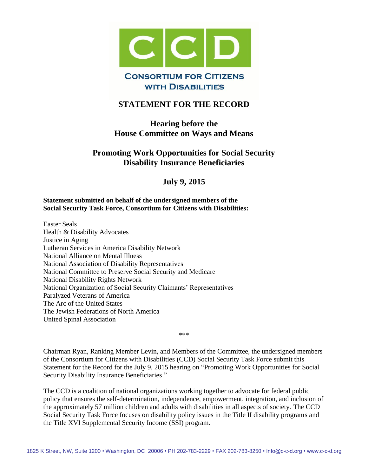

# **STATEMENT FOR THE RECORD**

## **Hearing before the House Committee on Ways and Means**

## **Promoting Work Opportunities for Social Security Disability Insurance Beneficiaries**

## **July 9, 2015**

#### **Statement submitted on behalf of the undersigned members of the Social Security Task Force, Consortium for Citizens with Disabilities:**

Easter Seals Health & Disability Advocates Justice in Aging Lutheran Services in America Disability Network National Alliance on Mental Illness National Association of Disability Representatives National Committee to Preserve Social Security and Medicare National Disability Rights Network National Organization of Social Security Claimants' Representatives Paralyzed Veterans of America The Arc of the United States The Jewish Federations of North America United Spinal Association

\*\*\*

Chairman Ryan, Ranking Member Levin, and Members of the Committee, the undersigned members of the Consortium for Citizens with Disabilities (CCD) Social Security Task Force submit this Statement for the Record for the July 9, 2015 hearing on "Promoting Work Opportunities for Social Security Disability Insurance Beneficiaries."

The CCD is a coalition of national organizations working together to advocate for federal public policy that ensures the self-determination, independence, empowerment, integration, and inclusion of the approximately 57 million children and adults with disabilities in all aspects of society. The CCD Social Security Task Force focuses on disability policy issues in the Title II disability programs and the Title XVI Supplemental Security Income (SSI) program.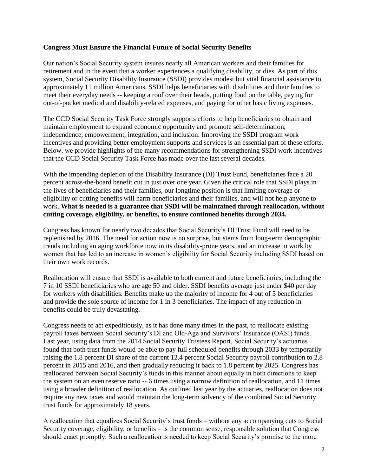#### **Congress Must Ensure the Financial Future of Social Security Benefits**

Our nation's Social Security system insures nearly all American workers and their families for retirement and in the event that a worker experiences a qualifying disability, or dies. As part of this system, Social Security Disability Insurance (SSDI) provides modest but vital financial assistance to approximately 11 million Americans. SSDI helps beneficiaries with disabilities and their families to meet their everyday needs -- keeping a roof over their heads, putting food on the table, paying for out-of-pocket medical and disability-related expenses, and paying for other basic living expenses.

The CCD Social Security Task Force strongly supports efforts to help beneficiaries to obtain and maintain employment to expand economic opportunity and promote self-determination, independence, empowerment, integration, and inclusion. Improving the SSDI program work incentives and providing better employment supports and services is an essential part of these efforts. Below, we provide highlights of the many recommendations for strengthening SSDI work incentives that the CCD Social Security Task Force has made over the last several decades.

With the impending depletion of the Disability Insurance (DI) Trust Fund, beneficiaries face a 20 percent across-the-board benefit cut in just over one year. Given the critical role that SSDI plays in the lives of beneficiaries and their families, our longtime position is that limiting coverage or eligibility or cutting benefits will harm beneficiaries and their families, and will not help anyone to work. **What is needed is a guarantee that SSDI will be maintained through reallocation, without cutting coverage, eligibility, or benefits, to ensure continued benefits through 2034.**

Congress has known for nearly two decades that Social Security's DI Trust Fund will need to be replenished by 2016. The need for action now is no surprise, but stems from long-term demographic trends including an aging workforce now in its disability-prone years, and an increase in work by women that has led to an increase in women's eligibility for Social Security including SSDI based on their own work records.

Reallocation will ensure that SSDI is available to both current and future beneficiaries, including the 7 in 10 SSDI beneficiaries who are age 50 and older. SSDI benefits average just under \$40 per day for workers with disabilities. Benefits make up the majority of income for 4 out of 5 beneficiaries and provide the sole source of income for 1 in 3 beneficiaries. The impact of any reduction in benefits could be truly devastating.

Congress needs to act expeditiously, as it has done many times in the past, to reallocate existing payroll taxes between Social Security's DI and Old-Age and Survivors' Insurance (OASI) funds. Last year, using data from the 2014 Social Security Trustees Report, Social Security's actuaries found that both trust funds would be able to pay full scheduled benefits through 2033 by temporarily raising the 1.8 percent DI share of the current 12.4 percent Social Security payroll contribution to 2.8 percent in 2015 and 2016, and then gradually reducing it back to 1.8 percent by 2025. Congress has reallocated between Social Security's funds in this manner about equally in both directions to keep the system on an even reserve ratio -- 6 times using a narrow definition of reallocation, and 11 times using a broader definition of reallocation. As outlined last year by the actuaries, reallocation does not require any new taxes and would maintain the long-term solvency of the combined Social Security trust funds for approximately 18 years.

A reallocation that equalizes Social Security's trust funds – without any accompanying cuts to Social Security coverage, eligibility, or benefits – is the common sense, responsible solution that Congress should enact promptly. Such a reallocation is needed to keep Social Security's promise to the more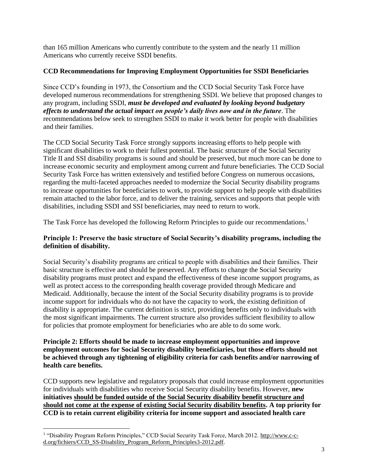than 165 million Americans who currently contribute to the system and the nearly 11 million Americans who currently receive SSDI benefits.

## **CCD Recommendations for Improving Employment Opportunities for SSDI Beneficiaries**

Since CCD's founding in 1973, the Consortium and the CCD Social Security Task Force have developed numerous recommendations for strengthening SSDI. We believe that proposed changes to any program, including SSDI, *must be developed and evaluated by looking beyond budgetary effects to understand the actual impact on people's daily lives now and in the future*. The recommendations below seek to strengthen SSDI to make it work better for people with disabilities and their families.

The CCD Social Security Task Force strongly supports increasing efforts to help people with significant disabilities to work to their fullest potential. The basic structure of the Social Security Title II and SSI disability programs is sound and should be preserved, but much more can be done to increase economic security and employment among current and future beneficiaries. The CCD Social Security Task Force has written extensively and testified before Congress on numerous occasions, regarding the multi-faceted approaches needed to modernize the Social Security disability programs to increase opportunities for beneficiaries to work, to provide support to help people with disabilities remain attached to the labor force, and to deliver the training, services and supports that people with disabilities, including SSDI and SSI beneficiaries, may need to return to work.

The Task Force has developed the following Reform Principles to guide our recommendations.<sup>1</sup>

### **Principle 1: Preserve the basic structure of Social Security's disability programs, including the definition of disability.**

Social Security's disability programs are critical to people with disabilities and their families. Their basic structure is effective and should be preserved. Any efforts to change the Social Security disability programs must protect and expand the effectiveness of these income support programs, as well as protect access to the corresponding health coverage provided through Medicare and Medicaid. Additionally, because the intent of the Social Security disability programs is to provide income support for individuals who do not have the capacity to work, the existing definition of disability is appropriate. The current definition is strict, providing benefits only to individuals with the most significant impairments. The current structure also provides sufficient flexibility to allow for policies that promote employment for beneficiaries who are able to do some work.

#### **Principle 2: Efforts should be made to increase employment opportunities and improve employment outcomes for Social Security disability beneficiaries, but those efforts should not be achieved through any tightening of eligibility criteria for cash benefits and/or narrowing of health care benefits.**

CCD supports new legislative and regulatory proposals that could increase employment opportunities for individuals with disabilities who receive Social Security disability benefits. However, **new initiatives should be funded outside of the Social Security disability benefit structure and should not come at the expense of existing Social Security disability benefits. A top priority for CCD is to retain current eligibility criteria for income support and associated health care** 

 $\overline{a}$ 

<sup>&</sup>lt;sup>1</sup> "Disability Program Reform Principles," CCD Social Security Task Force, March 2012. [http://www.c-c](http://www.c-c-d.org/fichiers/CCD_SS-Disability_Program_Reform_Principles3-2012.pdf)[d.org/fichiers/CCD\\_SS-Disability\\_Program\\_Reform\\_Principles3-2012.pdf.](http://www.c-c-d.org/fichiers/CCD_SS-Disability_Program_Reform_Principles3-2012.pdf)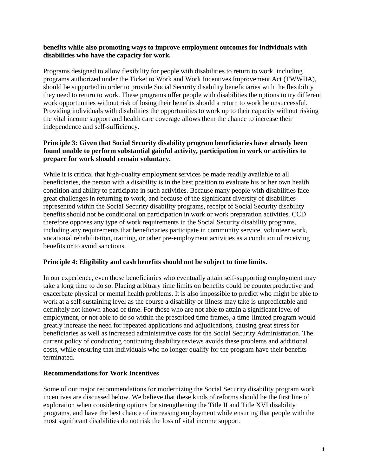#### **benefits while also promoting ways to improve employment outcomes for individuals with disabilities who have the capacity for work.**

Programs designed to allow flexibility for people with disabilities to return to work, including programs authorized under the Ticket to Work and Work Incentives Improvement Act (TWWIIA), should be supported in order to provide Social Security disability beneficiaries with the flexibility they need to return to work. These programs offer people with disabilities the options to try different work opportunities without risk of losing their benefits should a return to work be unsuccessful. Providing individuals with disabilities the opportunities to work up to their capacity without risking the vital income support and health care coverage allows them the chance to increase their independence and self-sufficiency.

### **Principle 3: Given that Social Security disability program beneficiaries have already been found unable to perform substantial gainful activity, participation in work or activities to prepare for work should remain voluntary.**

While it is critical that high-quality employment services be made readily available to all beneficiaries, the person with a disability is in the best position to evaluate his or her own health condition and ability to participate in such activities. Because many people with disabilities face great challenges in returning to work, and because of the significant diversity of disabilities represented within the Social Security disability programs, receipt of Social Security disability benefits should not be conditional on participation in work or work preparation activities. CCD therefore opposes any type of work requirements in the Social Security disability programs, including any requirements that beneficiaries participate in community service, volunteer work, vocational rehabilitation, training, or other pre-employment activities as a condition of receiving benefits or to avoid sanctions.

#### **Principle 4: Eligibility and cash benefits should not be subject to time limits.**

In our experience, even those beneficiaries who eventually attain self-supporting employment may take a long time to do so. Placing arbitrary time limits on benefits could be counterproductive and exacerbate physical or mental health problems. It is also impossible to predict who might be able to work at a self-sustaining level as the course a disability or illness may take is unpredictable and definitely not known ahead of time. For those who are not able to attain a significant level of employment, or not able to do so within the prescribed time frames, a time-limited program would greatly increase the need for repeated applications and adjudications, causing great stress for beneficiaries as well as increased administrative costs for the Social Security Administration. The current policy of conducting continuing disability reviews avoids these problems and additional costs, while ensuring that individuals who no longer qualify for the program have their benefits terminated.

#### **Recommendations for Work Incentives**

Some of our major recommendations for modernizing the Social Security disability program work incentives are discussed below. We believe that these kinds of reforms should be the first line of exploration when considering options for strengthening the Title II and Title XVI disability programs, and have the best chance of increasing employment while ensuring that people with the most significant disabilities do not risk the loss of vital income support.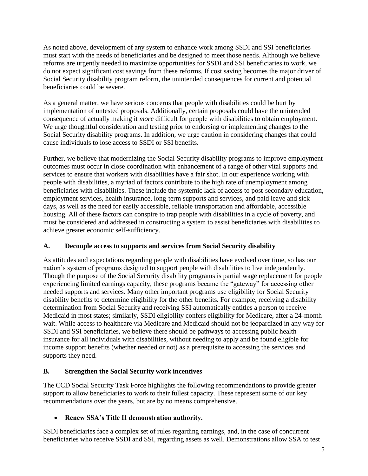As noted above, development of any system to enhance work among SSDI and SSI beneficiaries must start with the needs of beneficiaries and be designed to meet those needs. Although we believe reforms are urgently needed to maximize opportunities for SSDI and SSI beneficiaries to work, we do not expect significant cost savings from these reforms. If cost saving becomes the major driver of Social Security disability program reform, the unintended consequences for current and potential beneficiaries could be severe.

As a general matter, we have serious concerns that people with disabilities could be hurt by implementation of untested proposals. Additionally, certain proposals could have the unintended consequence of actually making it *more* difficult for people with disabilities to obtain employment. We urge thoughtful consideration and testing prior to endorsing or implementing changes to the Social Security disability programs. In addition, we urge caution in considering changes that could cause individuals to lose access to SSDI or SSI benefits.

Further, we believe that modernizing the Social Security disability programs to improve employment outcomes must occur in close coordination with enhancement of a range of other vital supports and services to ensure that workers with disabilities have a fair shot. In our experience working with people with disabilities, a myriad of factors contribute to the high rate of unemployment among beneficiaries with disabilities. These include the systemic lack of access to post-secondary education, employment services, health insurance, long-term supports and services, and paid leave and sick days, as well as the need for easily accessible, reliable transportation and affordable, accessible housing. All of these factors can conspire to trap people with disabilities in a cycle of poverty, and must be considered and addressed in constructing a system to assist beneficiaries with disabilities to achieve greater economic self-sufficiency.

## **A. Decouple access to supports and services from Social Security disability**

As attitudes and expectations regarding people with disabilities have evolved over time, so has our nation's system of programs designed to support people with disabilities to live independently. Though the purpose of the Social Security disability programs is partial wage replacement for people experiencing limited earnings capacity, these programs became the "gateway" for accessing other needed supports and services. Many other important programs use eligibility for Social Security disability benefits to determine eligibility for the other benefits. For example, receiving a disability determination from Social Security and receiving SSI automatically entitles a person to receive Medicaid in most states; similarly, SSDI eligibility confers eligibility for Medicare, after a 24-month wait. While access to healthcare via Medicare and Medicaid should not be jeopardized in any way for SSDI and SSI beneficiaries, we believe there should be pathways to accessing public health insurance for all individuals with disabilities, without needing to apply and be found eligible for income support benefits (whether needed or not) as a prerequisite to accessing the services and supports they need.

## **B. Strengthen the Social Security work incentives**

The CCD Social Security Task Force highlights the following recommendations to provide greater support to allow beneficiaries to work to their fullest capacity. These represent some of our key recommendations over the years, but are by no means comprehensive.

## **Renew SSA's Title II demonstration authority.**

SSDI beneficiaries face a complex set of rules regarding earnings, and, in the case of concurrent beneficiaries who receive SSDI and SSI, regarding assets as well. Demonstrations allow SSA to test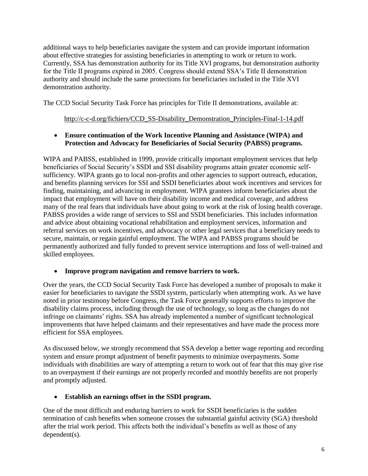additional ways to help beneficiaries navigate the system and can provide important information about effective strategies for assisting beneficiaries in attempting to work or return to work. Currently, SSA has demonstration authority for its Title XVI programs, but demonstration authority for the Title II programs expired in 2005. Congress should extend SSA's Title II demonstration authority and should include the same protections for beneficiaries included in the Title XVI demonstration authority.

The CCD Social Security Task Force has principles for Title II demonstrations, available at:

### [http://c-c-d.org/fichiers/CCD\\_SS-Disability\\_Demonstration\\_Principles-Final-1-14.pdf](http://c-c-d.org/fichiers/CCD_SS-Disability_Demonstration_Principles-Final-1-14.pdf)

### **Ensure continuation of the Work Incentive Planning and Assistance (WIPA) and Protection and Advocacy for Beneficiaries of Social Security (PABSS) programs.**

WIPA and PABSS, established in 1999, provide critically important employment services that help beneficiaries of Social Security's SSDI and SSI disability programs attain greater economic selfsufficiency. WIPA grants go to local non-profits and other agencies to support outreach, education, and benefits planning services for SSI and SSDI beneficiaries about work incentives and services for finding, maintaining, and advancing in employment. WIPA grantees inform beneficiaries about the impact that employment will have on their disability income and medical coverage, and address many of the real fears that individuals have about going to work at the risk of losing health coverage. PABSS provides a wide range of services to SSI and SSDI beneficiaries. This includes information and advice about obtaining vocational rehabilitation and employment services, information and referral services on work incentives, and advocacy or other legal services that a beneficiary needs to secure, maintain, or regain gainful employment. The WIPA and PABSS programs should be permanently authorized and fully funded to prevent service interruptions and loss of well-trained and skilled employees.

## **Improve program navigation and remove barriers to work.**

Over the years, the CCD Social Security Task Force has developed a number of proposals to make it easier for beneficiaries to navigate the SSDI system, particularly when attempting work. As we have noted in prior testimony before Congress, the Task Force generally supports efforts to improve the disability claims process, including through the use of technology, so long as the changes do not infringe on claimants' rights. SSA has already implemented a number of significant technological improvements that have helped claimants and their representatives and have made the process more efficient for SSA employees.

As discussed below, we strongly recommend that SSA develop a better wage reporting and recording system and ensure prompt adjustment of benefit payments to minimize overpayments. Some individuals with disabilities are wary of attempting a return to work out of fear that this may give rise to an overpayment if their earnings are not properly recorded and monthly benefits are not properly and promptly adjusted.

## **Establish an earnings offset in the SSDI program.**

One of the most difficult and enduring barriers to work for SSDI beneficiaries is the sudden termination of cash benefits when someone crosses the substantial gainful activity (SGA) threshold after the trial work period. This affects both the individual's benefits as well as those of any dependent(s).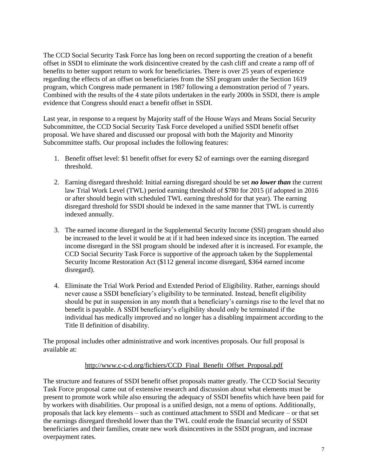The CCD Social Security Task Force has long been on record supporting the creation of a benefit offset in SSDI to eliminate the work disincentive created by the cash cliff and create a ramp off of benefits to better support return to work for beneficiaries. There is over 25 years of experience regarding the effects of an offset on beneficiaries from the SSI program under the Section 1619 program, which Congress made permanent in 1987 following a demonstration period of 7 years. Combined with the results of the 4 state pilots undertaken in the early 2000s in SSDI, there is ample evidence that Congress should enact a benefit offset in SSDI.

Last year, in response to a request by Majority staff of the House Ways and Means Social Security Subcommittee, the CCD Social Security Task Force developed a unified SSDI benefit offset proposal. We have shared and discussed our proposal with both the Majority and Minority Subcommittee staffs. Our proposal includes the following features:

- 1. Benefit offset level: \$1 benefit offset for every \$2 of earnings over the earning disregard threshold.
- 2. Earning disregard threshold: Initial earning disregard should be set *no lower than* the current law Trial Work Level (TWL) period earning threshold of \$780 for 2015 (if adopted in 2016 or after should begin with scheduled TWL earning threshold for that year). The earning disregard threshold for SSDI should be indexed in the same manner that TWL is currently indexed annually.
- 3. The earned income disregard in the Supplemental Security Income (SSI) program should also be increased to the level it would be at if it had been indexed since its inception. The earned income disregard in the SSI program should be indexed after it is increased. For example, the CCD Social Security Task Force is supportive of the approach taken by the Supplemental Security Income Restoration Act (\$112 general income disregard, \$364 earned income disregard).
- 4. Eliminate the Trial Work Period and Extended Period of Eligibility. Rather, earnings should never cause a SSDI beneficiary's eligibility to be terminated. Instead, benefit eligibility should be put in suspension in any month that a beneficiary's earnings rise to the level that no benefit is payable. A SSDI beneficiary's eligibility should only be terminated if the individual has medically improved and no longer has a disabling impairment according to the Title II definition of disability.

The proposal includes other administrative and work incentives proposals. Our full proposal is available at:

#### [http://www.c-c-d.org/fichiers/CCD\\_Final\\_Benefit\\_Offset\\_Proposal.pdf](http://www.c-c-d.org/fichiers/CCD_Final_Benefit_Offset_Proposal.pdf)

The structure and features of SSDI benefit offset proposals matter greatly. The CCD Social Security Task Force proposal came out of extensive research and discussion about what elements must be present to promote work while also ensuring the adequacy of SSDI benefits which have been paid for by workers with disabilities. Our proposal is a unified design, not a menu of options. Additionally, proposals that lack key elements – such as continued attachment to SSDI and Medicare – or that set the earnings disregard threshold lower than the TWL could erode the financial security of SSDI beneficiaries and their families, create new work disincentives in the SSDI program, and increase overpayment rates.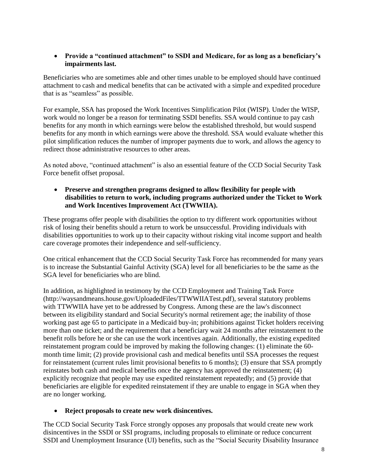### **Provide a "continued attachment" to SSDI and Medicare, for as long as a beneficiary's impairments last.**

Beneficiaries who are sometimes able and other times unable to be employed should have continued attachment to cash and medical benefits that can be activated with a simple and expedited procedure that is as "seamless" as possible.

For example, SSA has proposed the Work Incentives Simplification Pilot (WISP). Under the WISP, work would no longer be a reason for terminating SSDI benefits. SSA would continue to pay cash benefits for any month in which earnings were below the established threshold, but would suspend benefits for any month in which earnings were above the threshold. SSA would evaluate whether this pilot simplification reduces the number of improper payments due to work, and allows the agency to redirect those administrative resources to other areas.

As noted above, "continued attachment" is also an essential feature of the CCD Social Security Task Force benefit offset proposal.

 **Preserve and strengthen programs designed to allow flexibility for people with disabilities to return to work, including programs authorized under the Ticket to Work and Work Incentives Improvement Act (TWWIIA).** 

These programs offer people with disabilities the option to try different work opportunities without risk of losing their benefits should a return to work be unsuccessful. Providing individuals with disabilities opportunities to work up to their capacity without risking vital income support and health care coverage promotes their independence and self-sufficiency.

One critical enhancement that the CCD Social Security Task Force has recommended for many years is to increase the Substantial Gainful Activity (SGA) level for all beneficiaries to be the same as the SGA level for beneficiaries who are blind.

In addition, as highlighted in testimony by the CCD Employment and Training Task Force [\(http://waysandmeans.house.gov/UploadedFiles/TTWWIIATest.pdf\)](http://waysandmeans.house.gov/UploadedFiles/TTWWIIATest.pdf), several statutory problems with TTWWIIA have yet to be addressed by Congress. Among these are the law's disconnect between its eligibility standard and Social Security's normal retirement age; the inability of those working past age 65 to participate in a Medicaid buy-in; prohibitions against Ticket holders receiving more than one ticket; and the requirement that a beneficiary wait 24 months after reinstatement to the benefit rolls before he or she can use the work incentives again. Additionally, the existing expedited reinstatement program could be improved by making the following changes: (1) eliminate the 60 month time limit; (2) provide provisional cash and medical benefits until SSA processes the request for reinstatement (current rules limit provisional benefits to 6 months); (3) ensure that SSA promptly reinstates both cash and medical benefits once the agency has approved the reinstatement; (4) explicitly recognize that people may use expedited reinstatement repeatedly; and (5) provide that beneficiaries are eligible for expedited reinstatement if they are unable to engage in SGA when they are no longer working.

#### **Reject proposals to create new work disincentives.**

The CCD Social Security Task Force strongly opposes any proposals that would create new work disincentives in the SSDI or SSI programs, including proposals to eliminate or reduce concurrent SSDI and Unemployment Insurance (UI) benefits, such as the "Social Security Disability Insurance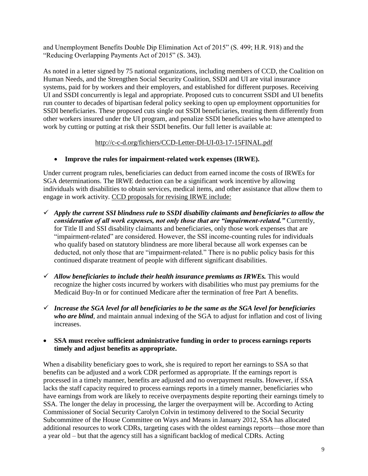and Unemployment Benefits Double Dip Elimination Act of 2015" (S. 499; H.R. 918) and the "Reducing Overlapping Payments Act of 2015" (S. 343).

As noted in a letter signed by 75 national organizations, including members of CCD, the Coalition on Human Needs, and the Strengthen Social Security Coalition, SSDI and UI are vital insurance systems, paid for by workers and their employers, and established for different purposes. Receiving UI and SSDI concurrently is legal and appropriate. Proposed cuts to concurrent SSDI and UI benefits run counter to decades of bipartisan federal policy seeking to open up employment opportunities for SSDI beneficiaries. These proposed cuts single out SSDI beneficiaries, treating them differently from other workers insured under the UI program, and penalize SSDI beneficiaries who have attempted to work by cutting or putting at risk their SSDI benefits. Our full letter is available at:

## <http://c-c-d.org/fichiers/CCD-Letter-DI-UI-03-17-15FINAL.pdf>

**Improve the rules for impairment-related work expenses (IRWE).**

Under current program rules, beneficiaries can deduct from earned income the costs of IRWEs for SGA determinations. The IRWE deduction can be a significant work incentive by allowing individuals with disabilities to obtain services, medical items, and other assistance that allow them to engage in work activity. CCD proposals for revising IRWE include:

- *Apply the current SSI blindness rule to SSDI disability claimants and beneficiaries to allow the consideration of all work expenses, not only those that are "impairment-related."* Currently, for Title II and SSI disability claimants and beneficiaries, only those work expenses that are "impairment-related" are considered. However, the SSI income-counting rules for individuals who qualify based on statutory blindness are more liberal because all work expenses can be deducted, not only those that are "impairment-related." There is no public policy basis for this continued disparate treatment of people with different significant disabilities.
- *Allow beneficiaries to include their health insurance premiums as IRWEs.* This would recognize the higher costs incurred by workers with disabilities who must pay premiums for the Medicaid Buy-In or for continued Medicare after the termination of free Part A benefits.
- *Increase the SGA level for all beneficiaries to be the same as the SGA level for beneficiaries who are blind*, and maintain annual indexing of the SGA to adjust for inflation and cost of living increases.
- **SSA must receive sufficient administrative funding in order to process earnings reports timely and adjust benefits as appropriate.**

When a disability beneficiary goes to work, she is required to report her earnings to SSA so that benefits can be adjusted and a work CDR performed as appropriate. If the earnings report is processed in a timely manner, benefits are adjusted and no overpayment results. However, if SSA lacks the staff capacity required to process earnings reports in a timely manner, beneficiaries who have earnings from work are likely to receive overpayments despite reporting their earnings timely to SSA. The longer the delay in processing, the larger the overpayment will be. According to Acting Commissioner of Social Security Carolyn Colvin in testimony delivered to the Social Security Subcommittee of the House Committee on Ways and Means in January 2012, SSA has allocated additional resources to work CDRs, targeting cases with the oldest earnings reports—those more than a year old – but that the agency still has a significant backlog of medical CDRs. Acting